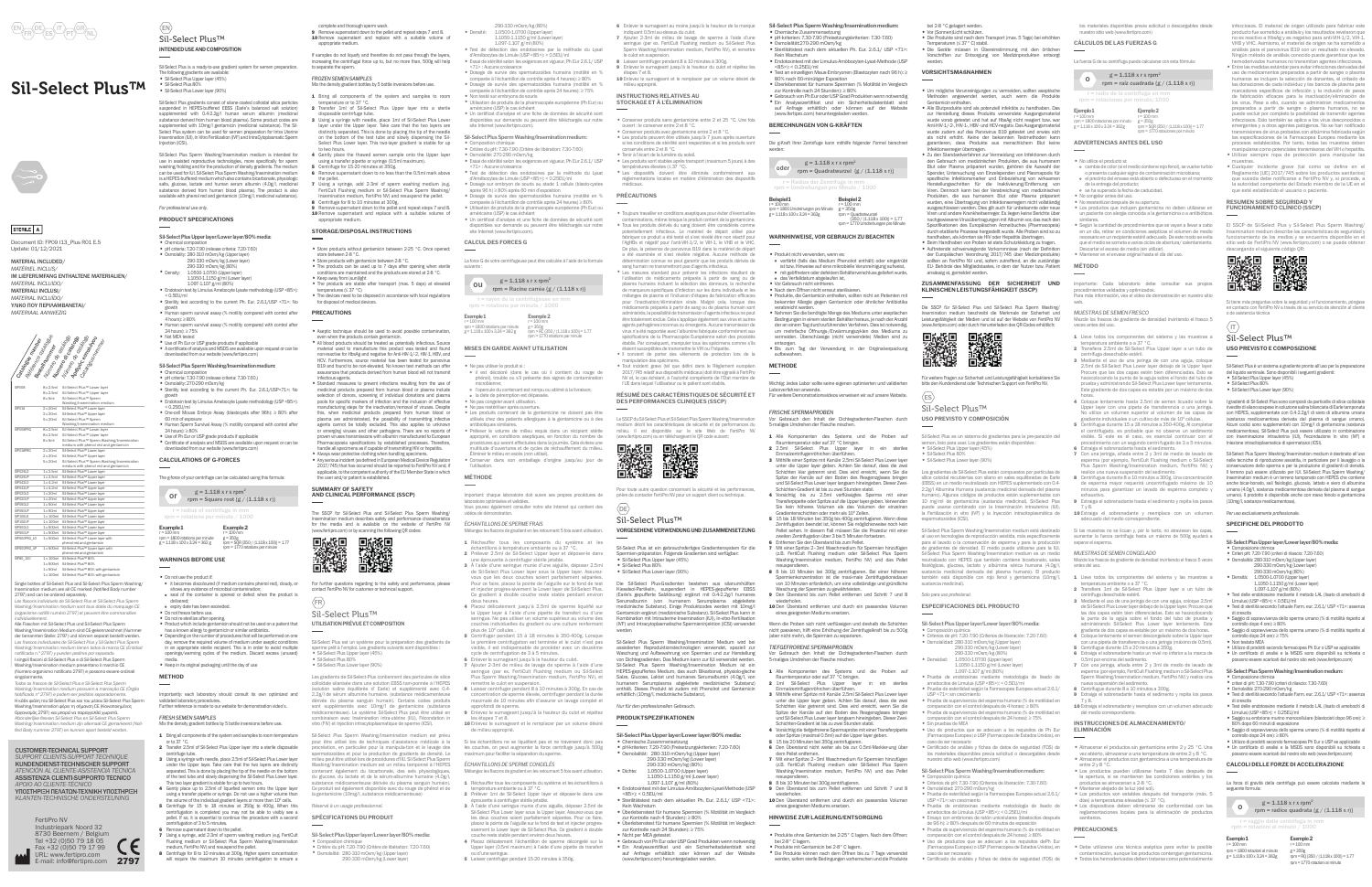nent ID: FP09 I13\_Plus R01 E.5 Update: 01/12/2021

MATERIAL INCLUDED *MATÉRIEL INCLUS/*  IM LIEFERUMFANG ENTHALTENE MATERIALIEN/ *MATERIAL INCLUIDO/*  MATERIALI INCLUSI/ *MATERIAL INCLUÍDO/*



ΥΛΙΚΟ ΠΟΥ ΠΕΡΙΛΑΜΒΑΝΕΤΑΙ/ *MATERIAAL AANWEZIG*

CUSTOMER-TECHNICAL SUPPORT *SUPPORT CLIENTS-SUPPORT TECHNIQUE* KUNDENDIENST-TECHNISCHER SUPPORT

*ATENCIÓN AL CLIENTE-ASISTENCIA TÉCNICA* ASSISTENZA CLIENTI-SUPPORTO TECNICO *APOIO AO CLIENTE-TÉCNICO* ΥΠΟΣΤΗΡΙΞΗ ΠΕΛΑΤΩΝ-ΤΕΧΝΙΚΗ ΥΠΟΣΤΗΡΙΞΗ

*KLANTEN-TECHNISCHE ONDERSTEUNING*

# Sil-Select Plus™



## STERILE A

ination medium are all CE marked (Notified Body number 2797) and can be ordered separately. *Les fl acons individuels de Sil-Select Plus et Sil-Select Plus Sperm* 

*Washing/Insemination medium sont tous dotés du marquage CE*  rganisme notifié numéro 2797) et peuvent être commandé

*individuellement.* Alle Flaschen mit Sil-Select Plus und Sil-Select Plus Sperm Washing/Insemination Medium sind CE-gekennzeichnet (Numm der benannten Stelle: 2797) und können separat bestellt werden. Los frascos individuales de Sil-Select Plus y Sil-Select Plus S *Washing/Insemination medium tienen todos la marca CE (Entidad notifi cada n.º 2797) y pueden pedirse por separado.* I singoli flaconi di Sil-Select Plus e di Sil-Select Plus Spen Washing/Insemination medium presentano il marchio CE (Numero organismo notificato 2797) e possono essere ordinati

| <b>SIPOOR</b>    | $8 \times 2.5$ ml | Sil-Select Plus™ Lower layer                |  |
|------------------|-------------------|---------------------------------------------|--|
|                  | $8 \times 2.5$ ml | Sil-Select Plus™ Upper laver                |  |
|                  | $8x$ 5ml          | Sil-Select Plus™ Sperm                      |  |
|                  |                   | Washing/Insemination medium                 |  |
| SIP016           | $2 \times 20$ ml  | Sil-Select Plus™ Lower layer                |  |
|                  | 2x20m1            | Sil-Select Plus™ Upper layer                |  |
|                  | 5 x 20ml          | Sil-Select Plus™ Sperm                      |  |
|                  |                   | Washing/Insemination medium                 |  |
| <b>SIPOORPRG</b> | 8x2.5ml           | Sil-Select Plus™ Lower laver                |  |
|                  | $8 \times 2.5$ ml | Sil-Select Plus™ Upper laver                |  |
|                  | $8x$ 5ml          | Sil-Select Plus™ Sperm Washing/Insemination |  |
|                  |                   | medium with phenol red and gentamicin       |  |
| SIP016PRG        | $2 \times 20$ ml  | Sil-Select Plus™ Lower layer                |  |
|                  | 2x20m1            | Sil-Select Plus™ Upper laver                |  |
|                  | 5 x 20ml          | Sil-Select Plus™ Sperm Washing/Insemination |  |
|                  |                   | medium with phenol red and gentamicin       |  |
| SIP025LO         | 1x2.5ml           | Sil-Select Plus™ Lower layer                |  |
| SIP025UP         | $1 \times 2.5$ ml | Sil-Select Plus™ Upper layer                |  |
| SIP042LO         | $1 \times 4.2$ ml | Sil-Select Plus™ Lower laver                |  |
| SIP042LIP        | $1 \times 4.2$ ml | Sil-Select Plus™ Upper layer                |  |
| SIP020LO         | $1 \times 20$ ml  | Sil-Select Plus™ Lower laver                |  |
| SIP020UP         | 1 x 20ml          | Sil-Select Plus™ Upper laver                |  |
| SIP050LO         | $1 \times 50$ ml  | Sil-Select Plus™ Lower laver                |  |
| SIPO50UP         | $1 \times 50$ ml  | Sil-Select Plus™ Upper layer                |  |
| SIP10010         | 1 x 100ml         | Sil-Select Plus™ Lower laver                |  |
| SIP100UP         | 1 x 100ml         | Sil-Select Plus™ Upper laver                |  |
| SIP500LO         | 1 x 500ml         | Sil-Select Plus™ Lower laver                |  |
| SIP500UP         | 1 x 500ml         | Sil-Select Plus™ Upper laver                |  |
| SIP500PRG LO     | 1 x 500ml         | Sil-Select Plus™ Lower laver with           |  |
|                  |                   | phenol red and gentamicin                   |  |
| SIP500PRG UP     | 1 x 500ml         | Sil-Select Plus™ Upper layer with           |  |
|                  |                   | phenol red and gentamicin                   |  |
| SIP80 100        | $1 \times 100$ ml | Sil-Select Plus™ 80%                        |  |
|                  | $1 \times 500$ ml | Sil-Select Plus™ 80%                        |  |
|                  | $1 \times 50$ ml  | Sil-Select Plus™ 80% with gentamicin        |  |

1 x 50ml Sil-Select Plus™ 80% with gentamicin 1 x 100ml Sil-Select Plus™ 80% with gentamicin Single bottles of Sil-Select Plus and Sil-Select Plus Sperm Washing/



infecciosos. El material de origen utilizado para fabricar estenducto fue sometido a análisis y los resultados revelaron que producto fue sometido a analisis y los resultados revelaron que<br>no es reactivo a HbsAg y es negativo para anti-VIP-1/2, VIH-1,<br>VHB y VHC. Asimismo, el material de origen se ha sometido a<br>análisis para el parvovirus B19 con Ningún método de análisis conocido puede garantizar que los hemoderivados humanos no transmitan agentes infecciosos. ntre las medidas estándar para evitar infecciones derivada<br>so de medicamentos prenarados a nartir de sanore o nl: uso de medicamentos preparados a partir de sangre o plasma humanos se incluyen la selección de donantes, el cribado de las donaciones de cada individuo y los bancos de plasma para marcadores específicos de infección y la inclusión de pasos<br>de fabricación eficaces para la inactivación/eliminación de los virus. Pese a ello, cuando se administran medicam preparados a partir de sangre o plasma humanos, no se puede excluir por completo la posibilidad de transmitir agentes infecciosos. Esto también se aplica a los virus descono emergentes y a otros agentes patógenos. No se han notificar<br>canonisiones de virus probadas con albúmina fabricada segu transmisiones de virus probadas con albúmina fabricada según las especifi caciones de la Farmacopea Europea mediante los procesos establecidos. Por tanto, todas las muestras debe<br>procesos establecidos. Por tanto, todas las muestras debe manipularse como potenciales transmisoras del VIH o hepatitis. ¤ Utilizar siempre ropa de protección para manipular las

muestras.<br>• Cualquier incidente grave (tal como se define en el<br>Reglamento [UE] 2017/745 sobre los productos sanitarios)<br>que suceda debe notificarse a FertiPro NV y, si procede, a<br>la autoridad competente del Estado miembro

El SSCP de Sil-Select Plus y Sil-Select Plus Sperm Washing/ Insemination medium describe las características de seguridad y funcionamiento de los medios y se encuentra disponible en el sitio web de FertiPro NV (www.fertipro.com) o se puede obtener

singolarmente. *Todos os frascos de Sil-Select Plus e Sil-Select Plus Sperm Washing/Insemination medium possuem a marcação CE (Órgão Notifi cado nº 2797) e podem ser pedidos separadamente.* Η κάθε φιάλη του Sil-Select Plus και του μέσου Sil-Select Plus Sperm Washing/Insemination φέρει τη σήμανση CE (Κοινοποιημένος Οργανισμός 2797) και μπορεί να παραγγελθεί χωριστά. *Afzonderlijke fl essen Sil-Select Plus en Sil-Select Plus Sperm* 

*Washing/Insemination medium zijn allemaal CE gemarkeerd (Notifi ed Body nummer 2797) en kunnen apart besteld worden.*

2 Transfiera 1ml de Sil-Select Plus Upper layer a un tubo de<br>centrífuga desechable estéril. centrífuga desechable estéril. 3 Mediante el uso de una jeringa de con una aguja, coloque 2.5ml de Sil-Select Plus Lower layer debajo de la Upper layer. Procure que las dos capas estén bien diferenciadas. Esto se hacecolocan la punta de la aguja sobre el fondo del tubo de prueba y administrando Sil-Select Plus Lower layer lentamente. Este gradiente de dos capas es estable por un máximo de dos horas oque lentamente el semen descongelado sobre la Upper la con una pipeta de transferencia o una jeringa (máximo de 0.5ml).

Extraiga el sobrenadante hasta el sedimento y repita los pasos 7 y 8. 10 Extraiga el sobrenadante y reemplace con un volumen adecuado

que esté establecido el usuario o paciente. **RESUMEN SOBRE SEGURIDAD Y FUNCIONAMIENTO CLÍNICO (SSCP)**

descargando el siguiente código QR:

Si tiene más preguntas sobre la seguridad y el funcionamiento, póngase en contacto con FertiPro NV a través de su servicio de atención al cliente

o de asistencia técnica

 $\sqrt{1}$ 

- ¤ Um mögliche Verunreinigungen zu vermeiden, sollten aseptische Methoden angewendet werden, auch wenn die Produkte
- Gentamicin enthalten. ¤ Alle Blutprodukte sind als potenziell infektiös zu handhaben. Das zur Herstellung dieses Produkts verwendete Ausgangsmaterial wurde vorab getestet und hat auf HbsAg nicht reagiert bzw. wa warde vorab getestet und nat dar nosng mont reugiert.<br>Anti-HIV-1/-2-, HIV-1-, HBV- und HCV-negativ. Das Ausgangs wurde zudem auf das Parvovirus B19 getestet und erwies sich<br>als nicht erhöht. Keine der bekannten Testmethoden kann als nicht erhöht. Keine der bekannten Testmethoden kann garantieren, dass Produkte aus menschlichem Blut keine
- Infektionserreger übertragen. ¤ Zu den Standardverfahren zur Vermeidung von Infektionen durch den Gebrauch von medizinischen Produkten, die aus humanem Blut oder Plasma präpariert wurden, gehören die Auswahl der Spender, Untersuchung von Einzelspenden und Plasmapools für<br>spezifische Infektionsmarker und Einbeziehung von wirksamen .<br>Herstellungsschritten für die Inaktivierung/Entfernung von Viren. Dennoch kann bei der Verabreichung von medizinischen Produkten, die aus humanem Blut oder Plasma präpariert<br>wurden eine Übertragung von Infektionserregern nicht vollständig wurden, eine Übertragung von Infektionser ausgeschlossen werden. Dies gilt auch für unbekannte oder neue Viren und andere Krankheitserreger. Es liegen keine Berichte über nachgewiesene Virusübertragungen mit Albumin vor, das nach den Spezifi kationen des Europäischen Arzneibuches (Pharmacopeia) durch etablierte Prozesse hergestellt wurde. Alle Proben sind so zu<br>handhaben, als könnten sie HIV oder Hepatitis übertragen.<br>• Beim Handhaben von Proben ist stets Schutzkleidung zu tragen.
- Auftretende schwerwiegende Vorkommisse (nach der Definition<br>der Europäischen Verordnung 2017/745 über Medizinprodukte)<br>sollten an FertiPro NV und, sofern zutreffend, an die zuständige<br>EU- Behörde des Mitgliedstaates, in

los materiales disponibles previa solicitud o descargables desde nuestro sitio web (www.fertipro.com)

### **CÁLCULOS DE LAS FUERZAS G**

La fuerza G de su centrífuga puede calcularse con esta fórmula:

**Ejemplo 1** r = 100 mm

**Ejemplo 2** r = 100 mm

rpm = 1800 rotaciones por minuto g = 1.118 x 100 x 3.24 = 362g g = 350g rpm = SQR {350 / (1.118 x 100)} = 1.77 rpm = 1770 rotaciones por minuto

## **ADVERTENCIAS ANTES DEL USO**

- 
- ¤ No utilice el producto si: ¤ cambia de color (si el medio contiene rojo fenol), se vuelve turbio o presenta cualquier signo de contaminación microbiana;
- ¤ el precinto del envase está abierto o defectuoso en el momento de la entrega del producto;
- ¤ se ha superado la fecha de caducidad.
- No congelar antes del uso.<br>■ No reesterilizar después de su apertura.
- 
- ¤ No reesterilizar después de su apertura. ¤ Los productos que incluyen gentamicina no deben utilizarse en un paciente con alergia conocida a la gentamicina o a antibiótico
- similares. ¤ Según la cantidad de procedimientos que se vayan a llevar a cabo en un día, retirar en condiciones asépticas el volumen de medio ecesario en un recipiente estéril adecuado. De este modo se evitaque el medio se someta a varios ciclos de abertura/ calentamiento. scartar el exceso de medio (sin utilizar).
- ¤ Mantener en el envase original hasta el día del uso.

Die SSCP für Sil-Select Plus und Sil-Select Plus Sp Insemination medium beschreibt die Merkmale der Sicherheit und Leistungsfähigkeit der Medien und ist auf der Website von FertiPro NV (www.fertipro.com) oder durch Herunterladen des QR-Codes erhältlich:

| ■感恩<br>後続発<br>■源楽 | ■ 旅遊<br>『 旅遊』<br>■ 大学館 |
|-------------------|------------------------|
|                   |                        |

- ¤ Chemische Zusammensetzung ¤ pH-kriterien: 7.30-7.90 (Freisetzungskriterien: 7.30-7.60) ¤ Osmolalität:270-290 mOsm/kg ¤ Sterilitätstest nach dem aktuellen Ph. Eur. 2.6.1/ USP <71>:
- Kein Wachstum ¤ Endotoxintest mit der Limulus-Amöbozyten-Lysat-Methode (USP
	-
- <85>): < 0.25EU/ml ¤ Test an einzelligen Maus-Embryonen (Blastozyten nach 96 h): ≥ 80% nach 60-minütiger Exposition ¤ Überlebenstest für humane Spermien (% Motilität im Vergleich zur Kontrolle nach 24 Stunden): ≥ 80% ¤ Gebrauch von Ph Eur oder USP Grad Produkten wenn notwendig
- ¤ Ein Analysezertifi kat und ein Sicherheitsdatenblatt sind auf Anfrage erhältlich oder können auf der Website
- oder  $rpm =$ Quadratwurzel {g / (1.118 x r)}

(www.fertipro.com) heruntergeladen werd

## **MÉTODO**

Importante: Cada laboratorio debe consultar sus propios procedimientos validados y optimizados. Para más información, vea el vídeo de demostración en nuestro sitio web.

*MUESTRAS DE SEMEN FRESCO* Mezcle los frascos de gradiente de densidad invirtiendo el frasco 5 veces antes del uso.

- 
- 
- 1 Lieve todos los componentes del sistema y las muestras a<br>
2 Transfiera 2.5ml de Sil-Select Plus Upper layer a un tubo de<br>
centrifuga descehable esfeit.<br>
2 Transfiera 2.5ml de Sil-Select Plus Upper layer a un tubo de<br>
cen
- 4 Coloque lentamente hasta 2.5ml de semen licuado sobre la Upper layer con una pipeta de transferencia o una jeringa. No utilice un volumen superior al volumen de las capas de<br>so gradiente individuales o un cultivo de más de 10<sup>9</sup> células .<br>5 Centrifugue durante 15 a 18 minutos a 350-400g. Al completar<br>el centrifugue durante 15 a 18 minu
- 
- 1 Alle Komponenten des Systems und die Proben auf Raumtemperatur oder auf 37 °C bringen. 2 2.5ml Sil-Select Plus Upper layer in ein steriles
- Einmalzentrifugenröhrchen überführen.<br>20 Mithilfe einer Spritze mit Kanüle 2.5ml Sil-Select Plus Lower layer<br>unter die Upper layer geben. Achten Sie darauf, dass die zwei<br>Schichten klar getrennt sind. Dies wird erreicht, w
- Schichten-Gradient ist bis zu zwei Stunden stabil.<br>4 Vorsichtig` bis zu 2.5ml verflüssigtes Sperma mit einer<br>Transferpipette oder Spritze auf die Upper layer geben. Verwenden<br>Sie kein höheres Volumen als das Volumen der ei
- Gradientenschichten oder mehr als 109 Zellen. 5 15 bis 18 Minuten bei 350g bis 400g zentrifugieren. Wenn diese Zentrifugation beendet ist, können Sie möglicherweise noch kein Pellet sehen. In diesem Fall müssen Sie die Prozedur mit einer an Zentrifugation über 3 bis 5 Minuten fortsetze
- 7 Mit einer Spritze 2–3ml Waschmedium für Spermien hinzufügen (z.B. FertiCult Flushing medium oder Sil-Select Plus Spen hing/Insemination medium, FertiPro NV) und das Pellet resuspendieren. 8 8 bis 10 Minuten bei 300g zentrifugieren. Bei einer höheren
- zentration ist die maxi-male Zentrifugation von 10 Minuten erforderlich, um eine vollständige und gründliche
- Den Überstand bis zum Pellet entfernen und Schritt 7 und 8 wiederholen. 10 Den Überstand entfernen und durch ein passendes Volumen *Solo para uso profesional.*
	-
- Wenn die Proben sich nicht verflüssigen und deshalb die Schichte
- nicht passieren, hilft eine Erhöhung der Zentrifugalkraft bis zu 500g
	-
- Vor Gebrauch den Inhalt der Dichtegradienten-Flaschen durch 5-maliges Umdrehen der Flasche mischen.
- Komponenten des Systems und die Proben auf Raumtemperatur oder auf 37 °C bringen. 2 1ml Sil-Select Plus Upper layer in ein steriles
- Einmalzentrifugenröhrchen überführen. 3 Mithilfe einer Spritze mit Kanüle 2.5ml Sil-Select Plus Lower layer
- unter die Upper layer geben. Achten Sie darauf, dass die zw
- Schichten klar getrennt sind. Dies wird erreicht, wenn Sie die<br>Spitze der Kanüle auf den Boden des Reagenzglases bringen<br>und Sil-Select Plus Lower layer langsam hineingeben. Dieser Zwei-<br>Schichten-Gradient ist bis zu zwei
- 4 Vorsichtig die tiefgefrorene Spermaprobe mit einer Transferpipette<br>oder Spritze (maximal 0.5ml) auf die Upper layer geben.<br>5 15 bis 20 Minuten bei 350g zentrifugieren.<br>6 Den Überstand nicht weiter als bis zur 0.5ml-Marki
- dem Pellet entfernen. 7 Mit einer Spritze 2–3ml Waschmedium für Spermien hinzufügen (z.B. FertiCult Flushing medium oder Sil-Select Plus Sperm Washing/Insemination medium, FertiPro NV) und das Pellet
- resuspendieren. 8 8 bis 10 Minuten bei 300g zentrifugieren. 9 Den Überstand bis zum Pellet entfernen und Schritt 7 und 8
- wiederholen. 10 Den Überstand entfernen und durch ein passendes Volumen
- **HINWEISE ZUR LAGERUNG/ENTSORGUNG**
- Produkte ohne Gentamicin bei 2-25° C lagern. Nach dem Offnen:<br>• bei 2-8° C lagern.<br>• Produkte mit Gentamicin bei 2-8° C lagern.<br>• Die Produkte Können nach dem Öffnen bis zu 7 Tage verwendet<br>• werden, sofern sterile Bedin
	-
- bei 2-8 °C gelagert werde
- Vor (Sonnen)Licht schutzen.<br>■ Die Produkte sind nach dem Transport (max. 5 Tage) bei erhöhten<br>■ Die Geräte müssen in Übereinstimmung mit den örtlichen<br>• Die Geräte müssen in Übereinstimmung mit den örtlichen vorschriften zur Entsorgung von Medizin<br>iften zur Entsorgung von Medizin

9 Extraiga el sobrenadante hasta el sedimento y repita los pasos 7 y 8. 10 Extraiga el sobrenadante y reemplace con un volumen

Mezcle los frascos de gradiente de densidad invirtiendo el frasco 5 vece

adecuado del medio correspondiente.

*MUESTRAS DE SEMEN CONGELADO*

ura ambiente o a 37 °C.

antes del uso.

1 Lleve todos los componentes del sistema y las muestras a

5 Centrifugue durante 15 a 20 minutos a 350g.

6 Enlever le surnageant au moins jusqu'à la hauteur de la marque<br>indiquant 0 5ml au dessus du culot indiquant 0.5ml au-dessus du culot. 7 Ajouter 2-3ml de milieu de lavage de sperme à l'aide d'une seringue (par ex. FertiCult Flushing medium ou Sil-Select Plus Sperm Washing/Insemination medium, FertiPro NV), et remettre lot en suspension.<br>:er centrifuøer nendant 8 à 10 minutes à 300 ơ 8 Laisser centrifuger pendant 8 à 10 minutes à 300g. 9 Enlevez le surnageant jusqu'à la hauteur du culot et répétez les étapes 7 et 8. 10 Enlevez le surnageant et le remplacer par un volume désiré de

> 6 Extraiga el sobrenadante hasta un nivel no inferior a la marca de 0.5ml por encima del sedimento. 7 Con una jeringa, añada entre 2 y 3ml de medio de lavado de esperma (por ejemplo, FertiCult Flushing medium o Sil-Select Plus Sperm Washing/Insemination medium, FertiPro NV) y realice una

nueva suspensión del sedimento. 8 Centrifugue durante 8 a 10 minutos a 300g.

¤ Les produits sont stables après transport (maximum 5 jours) à des températures élevées (≤ 37 °C).<br>• Les dispositifs doivent être éliminés conformément aux entations locales en matière d'élimination des dispositifs

del medio correspondiente.

**INSTRUCCIONES DE ALMACENAMIENTO/**

**ELIMINACIÓN**

¤ Almacenar el productos sin gentamicina entre 2 y 25 °C. Una vez abierto, almacenar a una temperatura de entre 2 y 8 °C. ¤ Almacenar el productos con gentamicina a una temperatura de entre 2 y 8 °C.

• Los productos pueden utilizarse hasta 7 días después de la apertura, si se mantienen las condiciones estériles y los productos se almacenan a 2-8 °C.<br>• Mantener alejado de la luz (del sol).<br>• Los productos son estables

**PRECAUCIONES**

.<br>separar el esperma

¤ Debe utilizarse una técnica aséptica para evitar la posible contaminación, aunque los productos contengan gentamicina. ¤ Todos los hemoderivados deben tratarse como potencialmente

Si las muestras no se licuan y, por lo tanto, no atraviesan la entar la fuerza centrífuga hasta un máximo de 500g ayudará



werden.

## **VORSICHTSMAßNAHMEN**

1.097-1.107 g/111 (80%)<br>tection des endotoxines par la méthode du Lysat<br>es de Limule (USP <85>): < 0.5EU/ml d'Amébocytes de Limule (USP <85>): < 0.5EU/ml ¤ Essai de stérilité selon les exigences en vigueur, Ph Eur 2.6.1/ USP <71> : Aucune croissance ¤ Dosage de survie des spermatozoïdes humains (motilité en % comparée à l'échantillon de contrôle après 4 heures): ≥ 80% ¤ Dosage de survie des spermatozoïdes humains (motilité en % comparée à l'échantillon de contrôle après 24 heures): ≥ 75% ■ Non teste sur embryons de souris<br>■ Utilisation de produits de la pharmacopée européenne (Ph Eur) ou américaine (USP) le cas échéant<br>• Un certificat d'analyse et une fiche de données de sécurité sont disponibles sur demande ou peuvent être téléchargés sur notre

site Internet (www.fertinm.com) **CALCUL DES FORCES G**

¤ Ne pas utiliser le produit si : ¤ il est décoloré (dans le cas où il contient du rouge de phénol), trouble ou s'il présente des signes de contamination microbienne;<br>• l'opercule du contenant est rompu ou abîmé à la livraison;

are pas restermser après ouverture.<br>Lac produite contanant da la gantamicina na doivant nac âtre ¤ Les produits contenant de la gentamicine ne doivent pas être utilisés chez des patients allergiques à la gentamicine ou à des antibiotiques similaires.<br>• Prélever le volume de milieu requis dans un récipient stérile approprié, en conditions aseptiques, en fonction du nombre de<br>procédures qui seront effectuées dans la journée. Cela évitera une<br>multitude d'ouvertures et de cycles de réchauffement du milieu.<br>Éliminer le milieu en excès ( ¤ Conserver dans son emballage d'origine jusqu'au jour de

## **ZUSAMMENFASSUNG DER SICHERHEIT UND KLINISCHEN LEISTUNGSFÄHIGKEIT (SSCP)**

Für weitere Fragen zur Sicherheit und Leistungsfähigkeit kontaktieren Sie bitte den Kundendienst oder Technischen Support von FertiPro NV.

**Sil-Select Plus Sperm Washing/Insemination medium:**

 $g = 1.118$  x r x rpm<sup>2</sup> OU  $_{\text{rpm}} = \text{Racine carrée} (g / (1.118 \text{ x r}))$ = rayon de la centrifugeuse en mm = rotations par minute / 1000

**BERECHNUNGEN VON G-KRÄFTEN**

Die g-Kraft Ihrer Zentrifuge kann mithilfe folgender Formel berechnet

 $g = 1.118 \times r \times r$  rpm<sup>2</sup>

werden:

**Beispiel 1** r = 100 mm

rpm = 1800 Umdrehungen pro Minute g = 1.118 x 100 x 3.24 = 362g

- r = 100 mm<br>g = 350g<br>rpm = Quadratwurzel<br>{350 / (1.118 x 100)} = 1.77<br>rpm = 1770 Umdrehungen pro Minute
- **WARNHINWEISE, VOR GEBRAUCH ZU BEACHTEN**
- Produkt nicht verwenden, wenn es:<br>• verfärbt (falls das Medium Phenolrot enthält) oder eingetrübt<br>• ist bzw. Hinveise auf eine mikrobielle Verunreinigung aufweist,<br>• mit geöffnetem oder defektem Behälterverschluss gelief
- Vor Gebrauch nicht einfrieren.<br>● Nach dem Öffnen nicht erneut sterilisieren.<br>● Produkte, die Gentamicin enthalten, sollten nicht an Patienten mit<br>bekannter Allergie gegen Gentamicin oder ähnlicher Antibiotika

verabreicht werden.<br>
Rehens Sie die benötigte Menge des Mediums unter aseptischen<br>
Redingungen in einem sterlien Behälter heraus, je nach der Anzahl<br>
der an einem Tag durchzuführenden Verfahren. Dies ist notwendig,<br>
um meh

entsorgen.<br>• Bis zum Tag der Verwendung in der Originalverpackung

- **1** Bring all components of the system and samples to room temperature or to 37 °C.
- temperature or to 37 °C. 2 Transfer 1ml of Sil-Select Plus Upper layer into a sterile
- disposable centrifuge tube. 3 Using a syringe with needle, place 1ml of Sil-Select Plus Lower layer under the Upper layer. Take care that the two layers are distinctly separated. This is done by placing the tip of the needle<br>on the bottom of the test tube and slowly dispensing the Silon the bottom of the test tube and slowly dispensing the Sil-Select Plus Lower layer. This two-layer gradient is stable for up
- to two hours. 4 Gently place the thawed semen sample onto the Upper layer using a transfer pipette or syringe (0.5ml maximum).<br>Centrifuge for 15-20 minutes at 350g.
- 5 Centrifuge for 15-20 minutes at 350g. 6 Remove supernatant down to no less than the 0.5ml mark above
- the pellet. 7 Using a syringe, add 2-3ml of sperm washing medium (e.g. FertiCult Flushing medium or Sil-Select Plus Sperm Washing/ Insemination medium, FertiPro NV) and resuspend the pellet.
- 8 Centrifuge for 8 to 10 minutes at 300g. 9 Remove supernatant down to the pellet and repeat steps 7 and 8. 10 Remove supernatant and replace with a suitable volume of appropriate medium.

- ¤ Store products without gentamicin between 2-25 °C. Once opened:
- store between 2-8 °C.<br>• Store products with gentamicin between 2-8 °C.
- ¤ The products can be used up to 7 days after opening when sterile conditions are maintained and the products are stored at 2-8 °C. ● Keep away from (sun)light<br>● The products are stable after transport (max. 5 days) at elevated
- temperatures (≤ 37 °C)<br>● The devices need to be disposed in accordance with local regulations<br>for disposal of medical devices.
- **PRECAUTIONS**

• Aseptic technique should be used to avoid possible contamination,<br>even when the products contain gentamicin.<br>• All blood products should be treated as potentially infectious. Source<br>material used to manufacture this prod

Interctions agents.<br>The Standard measures to prevent infections resulting from the use of<br>medicinal products prepared from human blood or plasma include<br>selection of donors, screening of individual domatons and plasma<br>pol

aufbewahren. **METHODE**

Wichtig: Jedes Labor sollte seine eigenen optimierten und validierten

Laborverfahren anwende. Für weitere Demonstrationsvideos verweisen wir auf unsere Website.

*FRISCHE SPERMAPROBEN*

ernen Sie den Überstand bis zum Pellet.

hung der Spermien zu gewährleister.

eines geeigneten Mediums ersetzen

Vor Gebrauch den Inhalt der Dichtegradienten-Flaschen durch 5-maliges Umdrehen der Flasche mischen.

For further questions regarding to the safety and performance, please tact FertiPro NV for customer or technical support

Sil-Select Plus gradients consist of silane-coated colloidal silica particle suspended in HEPES-buffered EBSS (Earle's balanced salt solution) supplemented with 0.4-2.2g/l human serum albumin (medicinal<br>ubstance derived from human blood plasma). Some product codes an substance derived from human blood plasma). Some product codes are supplemented with 10mg/l gentamicin (medicinal substance). The Sil-Select Plus system can be used for semen preparation for Intra Uterine Insemination (IUI), In Vitro Fertilization (IVF) and IntraCytoplasmatic Sperm Injection (ICSI).

Sil-Select Plus Sperm Washing/Insemination medium is intended for use in assisted reproductive technologies, more specifically for speri washing/holding and for the production of density gradients. The medium can be used for IUI. Sil-Select Plus Sperm Washing/Insemination medium is a HEPES-buffered medium which also contains bicarbonate, physiologi salts, glucose, lactate and human serum albumin (4.0g/l, medicinal ance derived from human blood plasma). The product is als available with phenol red and gentamicin (10mg/l, medicinal substance).

- ¤ Chemical composition ¤ pH criteria: 7.20-7.90 (release criteria: 7.20-7.60)
- ¤ Osmolality: 280-310 mOsm/kg (Upper layer) 290-330 mOsm/kg (Lower layer) 290-330 mOsm/kg (80%) ¤ Density: 1.0500-1.0700 (Upper layer)
- 1.1050-1.1150 g/ml (Lower layer) 1.097-1.107 g/ml (80%) in test by Limulus Amebocyte Lysate methodology (USP <85>):<br>in test by Limulus Amebocyte Lysate methodology (USP <85>):
- SUBJOURNEY THE CONDUCT OF SECTION OF STRING SECTION OF STRING SECTION OF SECTION AND SECTION OF SECTION OF SECTION AND SECTION OF STRING SECTION OF STRING SECTION OF STRING SECTION AND SECTION OF STRING SECTION OF STRING S
- 
- Sterlity test according to the current Ph. Eur. 2.6.1/USP <71>: No<br>growth<br>• Human sperm survival assay (% motility compared with control after<br>4 hours): ≥ 80%<br>• Human sperm survival assay (% motility compared with contro
- 
- 
- 

The g-force of your centrifuge can be calculated using this formula:  $g = 1.118$  x r x rpm<sup>2</sup>

## or  $\frac{g - 1.116 \times 1 \times 10^{11}}{rpm}$  = Square root  $(g / (1.118 \times r))$

(aber nicht mehr), die Spermien zu separieren. *TIEFGEFRORENE SPERMAPROBEN*

r = 100 mm rpm = 1800 rotations per minute g = 1.118 x 100 x 3.24 = 362 g r = 100 mm<br>g = 350g<br>rpm = SQR (350 / (1.118 x 100)) = 1.77<br>rpm = 1770 rotations per minute

- ¤ Do not use the product if:
- it becomes discoloured (if medium contains phenol red), cloudy, or shows any evidence of microbial contain seal of the container is opened or defect when the product is
- delivered;<br>• expiry date has been exceeded.
- Do not freeze before use.
- Do not re-sterilize after opening. Product which include gentamicin should not be used on a patient that has a known allergy to gentamicin or similar antibiotics.<br>• Depending on the number of procedures that will be performed on one
- day, remove the required volume of medium under aseptic conditions in an appropriate sterile recipient. This is in order to avoid multiple enings/warming cycles of the medium. Discard excess (unused)
- media.<br>• Keep in its original packaging until the day of use

- tantly: each laboratory should consult its own optimized and validated laboratory procedures. Further reference is made to our website for demonstration video's.
- *FRESH SEMEN SAMPLES*
- Mix the density gradient bottles by 5 bottle inversions before use.
- **I** Bring all components of the system and samples to room temperature or to 37 °C. 2 Transfer 2.5ml of Sil-Select Plus Upper layer into a sterile disposable
- centrifuge tube. 3 Using a syringe with needle, place 2.5ml of Sil-Select Plus Lower layer
- under the Upper layer. Take care that the two layers are distinctly<br>sparated. This is done by placing the tip of the needle on the bottom<br>of the test tube and slowly dispersing the Sil-Select Plus Lower layer.<br>This two lay
- 5 Centrifuge for 15 to 18 minutes at 350g to 400g. When this centrifugation is completed you may not be able to visibly see a pelet. If so, it is essential to continue the procedure with a second centrifugation of 3 to 5 m
- 6 Remove supernatant down to the pellet. 7 Using a syringe, add 2-3ml of sperm washing medium (e.g. FertiCult Flushing medium or Sil-Select Plus Sperm Washing/Insemination
- medium, FertiPro NV) and resuspend the pellet. 8 Centrifuge for 8 to 10 minutes at 300g. Higher sperm concentration will require the maximum 10 minutes centrifugation to ensure a

eines geeigneten Mediums ersetzen.

Sil-Select Plus est un système pour la préparation des gradients de sperme prêt à l'emploi. Les gradients suivants sont dispo Sil-Select Plus Upper layer (45%)

¤ Sil-Select Plus 80% • Sil-Select Plus Lower layer (90%)

Les gradients de Sil-Select-Plus contiennent des particules de silice colloïdale silanisée dans une solution EBSS tam-ponnée à l'HEPES (solution saline équilibrée d' Earle) et supplémenté avec 0.4- 2.2g/I de sérum albumine humaine. (substance médicamenteuse<br>dérivée du plasma sanguin humain). Certains codes produits<br>sont supplémentés avec 10mg/I de gentamicine (substance<br>médicamenteuse). Le système SII-Select Plus peu V) et Injection intracytoplasmatique de sperme (ICSI).

Sil-Select Plus Sperm Washing/Insemination medium est prévu<br>pour être utilisé lors de techniques d'assistance médicale à la<br>procréation, en particulier pour la manipula-tion et le lavage des<br>spermatozoïdes et pour la produ

rpm

= Radius der Zentrifuge in mm = Umdrehungen pro Minute / 1000

**Beispiel 2** 

## **Sil-Select Plus Upper layer/Lower layer/80% media:** ■ Composition chimique<br>■ Critère du pH: 7.20-7.90 (Critère de libération: 7.20-7.60)

**VORGESEHENE VERWENDUNG UND ZUSAMMENSETZUNG** Sil-Select Plus ist ein gebrauchsfertiges Gradientensystem für die on. Folgende Gradienten sind verfügba

milieu approprié.

**INSTRUCTIONS RELATIVES AU STOCKAGE ET À L'ÉLIMINATION**

conservés entre 2 et 8 °C.<br>• Tenir à l'écart de la lumière du soleil.

¤ Conserver produits sans gentamicine entre 2 et 25 °C. Une fois ouvert : le conserver entre 2 et 8 °C.<br>• Conserver produits avec gentamicine entre 2 et 8 °C.<br>• Les produits peuvent être utilisés jusqu'à 7 jours après ouverture si les conditions de stérilité sont respectées et si les produits sont

Die Sil-Select Plus-Gradienten bestehen aus silanumhüllt Kieselsol-Partikeln, suspendiert in HEPES-gepufferter EBSS (Earle's gepufferte Salzlösung) ergänzt mit 0.4-2.2g/l humanes Serumalbumin (von humanem Serumplasma abgeleitete medizinische Substanz). Einige Produktcodes werden mit 10mg/l Gentamicin ergänzt (medizinische Substanz). Sil-Select Plus kann Kombination mit Intrauterine Insemination (IUI), In-vitro-Fertilisation (IVF) und Intracytoplasmatische Spermieninjektion (ICSI) verwendet

Sil-Select Plus Sperm Washing/Insemination Medium wird bei assistierten Reproduktionstechnologien verwendet, speziell zur Waschung und Aufbewahrung von Spermien und zur Herstellung adienten. Das Medium kann zur IUI verwendet werd Sil-Select Plus Sperm Washing/Insemination Medium ist ein HEPES-gepuffertes Medium, das auch Bikarbonat, physiolo-gische Salze, Glucose, Laktat und humanes Serumalbumin (4.0g/l, von Serumplasma abgeleitete medizinische S enthält. Dieses Produkt ist zudem mit Phenolrot und Gentamicin

prière de contacteur.<br>Per FertiPro NV nour un

médicaux. **PRÉCAUTIONS**

¤ Toujours travailler en conditions aseptiques pour éviter d'éventuelles contaminations, même lorsque le produit contient de la gentamicine. ¤ Tous les produits dérivés du sang doivent être considérés comme potentiellement infectieux. Le matériel de départ utilisé pour fabriquer ce produit a été testé et s'est révélé être non réactif pour l'AgHBs et négatif pour l'anti-VIH-1/2, le VIH-1, le VHB et le VHC. De plus, la présence de parvovirus B19 dans le matériel de départ a été examinée et s'est révélée négative. Aucune méthode de

determination connue ne peut grannir que les produits derives de<br>sang humain ne transmettront pas d'agents infectieux.<br>• Les mesures standard pour prévenir les infections résultant de<br>l'utilisation de médiciannents préparé

المسيسمون العدم العديد العديد بين المسيسمون المسيحين.<br>Tout incident grave (tel que défini dans le Règlement européen 2017/745 relatif aux dispositifs médicaux) doit être signalé à FertiPro NV et, le cas échéant, à l'autorité compétente de l'État membre de l'UE dans lequel l'utilisateur ou le patient sont établis. **RÉSUMÉ DES CARACTÉRISTIQUES DE SÉCURITÉ ET DES CLINIQUES DE STRANCES CLINIQUES** 

Le SSCP du Sil-Select Plus et Sil-Select Plus Sperm Washing/Insemination<br>medium décrit les caractéristiques de sécurité et de performances du<br>milieu. Il est disponible sur le site Web de FertiPro NV<br>(www.fertipro.com) ou e

estion concernant la sécurité et les perfor

## Sil-Select Plus™ **USO PREVISTO Y COMPOSICIÓN**  $\langle$ ES $\rangle$

Sil-Select Plus es un sistema de gradientes para la pre-paración de semen, listo para usar. Los gradientes están disponibles :<br>• Sil-Select Plus Upper layer (45%)<br>• Sil-Select Plus 80%

Los gradientes de Sil-Select Plus están compuestos por partículas de<br>sílice coloidal recubiertas con silano en sales equilibradas de Earle<br>(EBSS) en un medio neutralizado con HEPES suplementado con 0.4-<br>2.2g/l Albumina Hum humano). Algunos códigos de productos están suplementados con 10 mg/ml de gentamicina (sustancia medicinal). Sil-Select Plus puede usarse combinado con la Inseminación intrauterina (IUI), la Fernanda Ferrilia Fernandalen industria.<br>Intracitoplasmática de la Invección intracitoplasmá espermatozoides (ICSI).

Sil-Select Plus Sperm Washing/Insemination medium está destinado<br>al uso en tecnologías de reproducción asistida, más específicamente<br>para el lavado o la conservación de esperma y para la producción<br>de gradientes de densida Sil-Select Plus Sperm Washing/Insemination medium es un medio neutralizado con HEPES que también contiene bicarbonato, sales siológicas, glucosa, lactato y albúmina sérica humana (4.0g/l, ustancia medicinal derivada del plasma humano). El pro mbién está disponible con rojo fenol y gentamicina (10mg/l, sustancia medicinal).

I gradienti di Sil-Select Plus sono composti da particelle di silice colloidale rivestite di silano sospese in soluzione salina bilanciata di Earle tamponata con HEPES, supplementate con 0.4-2.2g/1 di siero di albuminia umana<br>(sostanza medicamentosa derivata dal plasma di sangue umano).<br>Alcuni codici sono supplementati con 1.0mg/1 di gentamicina (sostanza<br>medicamentosa). Sil-Se

Sil-Select Plus Sperm Washing/Insemination medium è destincto all'uso<br>nelle tecniche di riproduzione assistita, in particolare per il lavaggio o la<br>conservazione dello sperma e per la produzione di gradelenti di densità.<br>I

ssine mediante il metodo LAL (lisato di amebociti d

290-330 mOsm/kg (80%) ¤ Densité: 1.0500-1.0700 (Upper layer) 1.1050-1.1150 g/ml (Lower layer) 1.097-1.107 g/ml (80%)

290-330 m0sm/kg (80%)<br>
• Densità: 1.0500-1.0700 (Upper law 1.0500-1.0700 (Upper layer 1.1050-1.1150 g/ml (Lower layer)

 $1.097 - 1.107$  g/ml  $(80%)$ <br>• Test delle endotossine mediante il r

 $p$ ollo dopo 4 ore):  $\geq 80\%$ 

 $\text{ollo dopo } 24 \text{ ore}$ : ≥ 75% Non testato MEA

site Internet (www.fertipro.com).

**Sil-Select Plus Sperm Washing/Insemination medium:** ¤ Composition chimique ¤ Critère du pH: 7.30-7.90 (Critère de libération: 7.30-7.60) ¤ Osmolalité: 270-290 mOsm/kg ¤ Essai de stérilité selon les exigences en vigueur, Ph Eur 2.6.1/ USP <71> : Aucune croissance ¤ Test de détection des endotoxines par la méthode du Lysat d'Amébocytes de Limule (USP <85>): < 0.25EU/ml ¤ Dosage sur embryon de souris au stade 1 cellule (blasto-cystes après 96 h) ≥ 80% après 60 min d'exposition ¤ Dosage de survie des spermatozoïdes humains (motilité en % comparée à l'échantillon de contrôle après 24 heures) ≥ 80% ¤ Utilisation de produits de la pharmacopée européenne (Ph Eur) ou américaine (USP) le cas échéant<br>• Un certificat d'analyse et une fiche de données de sécurité sont disponibles sur demande ou peuvent être téléchargés sur notre

> ■ Osmolalità: 270-290 mOsm/kg<br>■ Test di sterilità secondo l'attuale Farm. eur. 2.6.1/ USP <71>: assenza di crescita<br>• Test delle endotossine mediante il metodo LAL (lisato di amebociti di<br>Limulus) (USP <85>): < 0.25EU/ml ¤ Saggio su embrione murino monocellulare (blastocisti dopo 96 ore): ≥ 80% dopo 60 minuti di esposizione ¤ Saggio di sopravvivenza dello sperma umano (% di motilità rispetto al controllo dopo 24 ore): ≥ 80% ¤ Utilizzo di prodotti secondo farmacopea Ph Eur o USP se applicabile ¤ Un certifi cato di analisi e la MSDS sono disponibili su richiesta o possono essere scaricati dal nostro sito web (www.fertipro.com) **CALCOLI DELLE FORZE DI ACCELERAZIONE**

La forza di gravità della centrifuga può essere calcolata mediante l

 $g = 1.118$  x r x rpm<sup>2</sup>  $\sigma$   $\sigma$   $\sigma$  = 1.116 x i x i pin

= raggio della centrifuga in mm  $=$  rotazioni al minuto  $/ 1000$ 

La force G de votre centrifugeuse peut être calculée à l'aide de la formule

suivante :

**Exemple 1**

r = 100 mm rpm = 1800 rotations par minute g = 1.118 x 100 x 3.24 = 362 g

**Exemple 2**

**MISES EN GARDE AVANT UTILISATION**

¤ la date de péremption est dépassée. ¤ Ne pas congeler avant utilisation.

l'utilisation. **MÉTHODE**

Important: chaque laboratoire doit suivre ses propres procédures de laboratoire optimisées et validées. Vous pouvez également consulter notre site Internet qui contient des

ngez les flacons de gradient en les retournant 5 fois avant utilisation. 1 Réchauffer tous les composants du système et les échantillons à température ambiante ou à 37 °C. 2 Prélever 2.5ml de Sil-Select Upper layer et déposer-le dans ette à centrifuger stérile jetable. 3 À l'aide d'une seringue munie d'une aiguille, déposer 2.5ml de Sil-Select Plus Lower layer sous la Upper layer. Assurezous que les deux couches soient parfaitement sépa Pour ce faire, placez la pointe de l'aiguille sur le fond de test et injecter progres-sivement la Lower layer de Sil-Select Plus. Ce gradient à double couche reste stable pendant environ deux heures.<br>4 Placez délicatement jusqu'à 2.5ml de sperme liquéfié sur la Upper layer à l'aide d'une pipette de transfert ou d'une seringue. Ne pas utiliser un volume supérieur au volume des es individuelles du gradient ou une culture renfermant

vidéos de démonstration. *ÉCHANTILLONS DE SPERME FRAIS*

plus de 10<sup>9</sup> cellules

5 Centrifuger pendant 15 à 18 minutes à 350-400g. Lorsque la première centrifugation est terminée et le culot n'est pas visible, il est indispensable de procéder avec un deuxième

Si les échantillons ne se liquéfient pas et ne traversent donc pas<br>les couches, on peut augmenter la force centrifuge jusqu'à 500g<br>maximum pour faciliter la séparation du sperme.

Mélangez les flacons de gradient en les retournant 5 fois avant utilisation.

1 Réchauffer tous les composants du système et les échantillons à<br>
2 Prélever 1ml de Sil-Select Upper layer et déposer-le dans une<br>
éprouvette à centrifuger stérile jetable.<br>
6 Prélever 1ml de Sil-Select Upper layer et dép

cycle de centrifugation de 3 à 5 minutes. nlever le surnageant jusqu'à la hauteur du culot 7 Ajouter 2-3ml de milieu de lavage de sperme à l'aide d'une seringue (par ex. FertiCult Flushing medium ou Sil-Select Plus Sperm Washing/Insemination medium, FertiPro NV), et remettre le culot en suspension. 8 Laisser centrifuger pendant 8 à 10 minutes à 300g. En cas de concentration de sperme élevée, centrifuger pendant la durée<br>maximale de 10 minutes afin d'assurer un lavage complet et approfondi de sperme. 9 Enlevez le surnageant jusqu'à la hauteur du culot et répétez les étapes 7 et 8. 10 Enlevez le surnageant et le remplacer par un volume désiré

de milieu approprié.

*ÉCHANTILLONS DE SPERME CONGELÉS*

4 Placez délicatement l'échantillon de sperme décongelé sur la Upper layer (0.5ml maximum) à l'aide d'une pipette de transfert ou d'une seringue. 5 Laisser centrifuger pendant 15-20 minutes à 350g.

r = 100 mm<br>g = 350g<br>rpm = RC {350 / (1.118 x 100)} = 1.77<br>rpm = 1770 rotations par minute

- 
- complete and thorough sperm wash. 9 Remove supernatant down to the pellet and repeat steps 7 and 8. 10 Remove supernatant and replace with a suitable volume of appropriate medium.

If samples do not liquefy and therefore do not pass through the layers, increasing the centrifugal force up to, but no more than, 500g will help to separate the sperm.

## *FROZEN SEMEN SAMPLES* Mix the density gradient bottles by 5 bottle inversions before use.

#### **STORAGE/DISPOSAL INSTRUCTIONS**

#### **SUMMARY OF SAFETY AND CLINICAL PERFORMANCE (SSCP)**

The SSCP for Sil-Select Plus and Sil-Select Plus Sperm Washing/ Insemination medium describes safety and performance characteristics for the media and is available on the website of FertiPro NV (www.fertipro.com) or by scanning the following QR codes:



Sil-Select Plus is a ready-to-use gradient system for semen preparation. The following gradients are available:<br>• Sil-Select Plus Upper layer (45%) ¤ Sil-Select Plus 80% ¤ Sil-Select Plus Lower layer (90%)

## *For professional use only.*

## **PRODUCT SPECIFICATIONS**

## **Sil-Select Plus Upper layer/Lower layer/80% media:**

### **Sil-Select Plus Sperm Washing/Insemination medium:**

- \* Chemical composition<br>\* pH criteria: 7.30-7.90 (release criteria: 7.30-7.60,)<br>\* Osmolality: 270-290 mOsm/kg<br>\* Sterility test according to the current Ph. Eur. 2.6.1/USP<71>: No
- 
- growth<br>• Endotoxin test by Limulus Amebocyte Lysate methodology (USP <85>):
- < 0.25EU/ml ¤ One-cell Mouse Embryo Assay (blastocysts after 96h): ≥ 80% after
- 60 min of exposure<br>• Human Sperm Survival Assay (% motility compared with control after
- 24 hours): ≥ 80%<br>● Use of Ph Eur or USP grade products if applicable<br>● Certificate of analysis and MSDS are available upon request or can be<br>→ downloaded from our website (www.fertipro.com)
- 

### Sil-Select Plus™ **INTENDED USE AND COMPOSITION** EN

## **CALCULATIONS OF G-FORCES**

#### **Example 1 Example 2**

### **WARNINGS BEFORE USE**

## **METHOD**

r rpm = radius of centrifuge in mm = rotations per minute / 1000

> Sil-Select Plus™ **UTILISATION PRÉVUE ET COMPOSITION** FR

*Réservé à un usage professionnel.*

## **SPÉCIFICATIONS DU PRODUIT**

¤ Osmolalité: 280-310 mOsm/kg (Upper layer) 290-330 mOsm/kg (Lower layer)

Sil-Select Plus™

¤ Sil-Select Plus Upper layer (45%) ¤ Sil-Select Plus 80% ¤ Sil-Select Plus Lower layer (90%)

werden

 $\langle$ DE $\rangle$ 

erhältlich (10mg/l, medizinische Substanz). *Nur für den professionellen Gebrauch.* **PRODUKTSPEZIFIKATIONEN**

וי < 0.5FU<br>טאווייכ

**Sil-Select Plus Upper layer/Lower layer/80% media:**

• Chemische Zusammensetzung<br>• pH-kriterien: 7.20-7.60 (Freisetzungskriterien: 7.20-7.60)<br>• Osmolalität: 280-310 mOsm/kg (Upper layer)<br>• 290-330 mOsm/kg (Bower layer)<br>• Dichte: 1.0500-1.0700 (Upper layer)

1.1050-1.1150 g/ml (Lower layer) 1.097-1.107 g/ml (80%) ¤ Endotoxintest mit der Limulus-Amöbozyten-Lysat-Methode (USP

Kein Wachstum ¤ Überlebenstest für humane Spermien (% Motilität im Vergleich zur Kontrolle nach 4 Stunden): ≥ 80% ¤ Überlebenstest für humane Spermien (% Motilität im Vergleich zur Kontrolle nach 24 Stunden): ≥ 75% ¤ Nicht per MEA getestet ¤ Gebrauch von Ph Eur oder USP Grad Produkten wenn notwendig ¤ Ein Analysezertifi kat und ein Sicherheitsdatenblatt sind auf Anfrage erhältlich oder können auf der Website (www.fertipro.com) heruntergeladen werden.

zu/mi<br>nach dem aktuellen Ph. Eur. 2.6.1/ USP <71>:

- 
- ¤ Sil-Select Plus Lower layer (90%)

**ESPECIFICACIONES DEL PRODUCTO**

- **Sil-Select Plus Upper layer/Lower layer/80% media:** ■ Composición química<br>■ Criterios de pH: 7.20-7.90 (Criterios de liberación: 7.20-7.60) ¤ Osmolalidad: 280-310 mOsm/kg (Upper layer) 290-330 mOsm/kg (Lower layer)
- 290-330 mOsm/kg (80%) Densidad: 1.0500-1.0700 (Upper layer
- 1.1050-1.1150 g/ml (Lower layer)
- 1.097-1.107 g/ml (80%) ¤ Prueba de endotoxinas mediante metodología de lisado de amebocitos de Limulus (USP <85>): < 0.5EU/ml
- ueba de esterilidad según la Farmacopea Europea actual 2.6.1/
- USP <71>: sin crecimiento ¤ Prueba de supervivencia del esperma humano (% de motilidad en
- comparación con el control después de 4 horas): ≥ 80% ¤ Prueba de supervivencia del esperma humano (% de motilidad en comparación con el control después de 24 horas): ≥ 75%
- n pruebas de MEA ¤ Uso de productos que se adecuan a los requisitos de Ph Eur
- (Farmacopea Europea) o USP (Farmacopea de Estados Unidos), en caso de ser necesario <br>• Certificado de análisis y fichas de datos de seguridad (FDS) de
- los materiales disponibles previa solicitud o descargables desde nuestro sitio web (www.fertipro.com)

## **Sil-Select Plus Sperm Washing/Insemination medium:**

- 
- Composición química<br>● Criterios de pH: 7.30-7.90 (Criterios de liberación: 7.30-7.60)<br>● Osmolalidad: 270-290 mOsm/kg<br>● Prueba de esterilidad según la Farmacopea Europea actual 2.6.1/
- 
- USP <br/><71>- isin crecimiento mediante metodología de lisado de metodología de lisado de amebocitos de Limulus (USP <85>): < 0.25EU/ml<br>
e Photo de amebocitos de Limulus (USP <85>): < 0.25EU/ml<br>
e Frenso con embriones de
- 
- ¤ Uso de productos que se adecuan a los requisitos dePh Eur (Farmacopea Europea) o USP (Farmacopea de Estados Unidos), en
- caso de ser necesario <br>• Certificado de análisis y fichas de datos de seguridad (FDS) de

Sil-Select Plus™ **USO PREVISTO E COMPOSIZIONE**

Sil-Select Plus è un sistema a gradiente pronto all'uso per la preparazione del liquido seminale. Sono disponibili i seguenti gradienti:

¤ Sil-Select Plus Upper layer (45%) ¤ Sil-Select Plus 80% ¤ Sil-Select Plus Lower layer (90%)

*Per uso esclusivamente professionale.* **SPECIFICHE DEL PRODOTTO**

**Sil-Select Plus Upper layer/Lower layer/80% media:** ¤ Composizione chimica ¤ Criteri pH: 7.20-7.90 (criteri di rilascio: 7.20-7.60) ¤ Osmolalità: 280-310 mOsm/kg (Upper layer) 290-330 mOsm/kg (Lower layer)

Limulus) (USP <85>): < 0.5EU/ml

¤ Test di sterilità secondo l'attuale Farm. eur. 2.6.1/ USP <71>: assenza

di crescita

¤ Saggio di sopravvivenza dello sperma umano (% di motilità rispetto al

¤ Saggio di sopravvivenza dello sperma umano (% di motilità rispetto al

¤ Utilizzo di prodotti secondo farmacopea Ph Eur o USP se applicabile ¤ Un certifi cato di analisi e la MSDS sono disponibili su richiesta o possono essere scaricati dal nostro sito web (www.fertipro.com) **Sil-Select Plus Sperm Washing/Insemination medium:** ¤ Composizione chimica ¤ criteri di pH: 7.30-7.90 (criteri di rilascio: 7.30-7.60)

seguente formula:

**Esempio 1** r = 100 mm rpm = 1800 rotazioni al minuto g = 1.118 x 100 x 3.24 = 362g **Esempio 2**

r = 100 mm g = 350g rpm = RQ {350 / (1.118 x 100)} = 1.77 rpm = 1770 rotazioni al minuto

r rpm